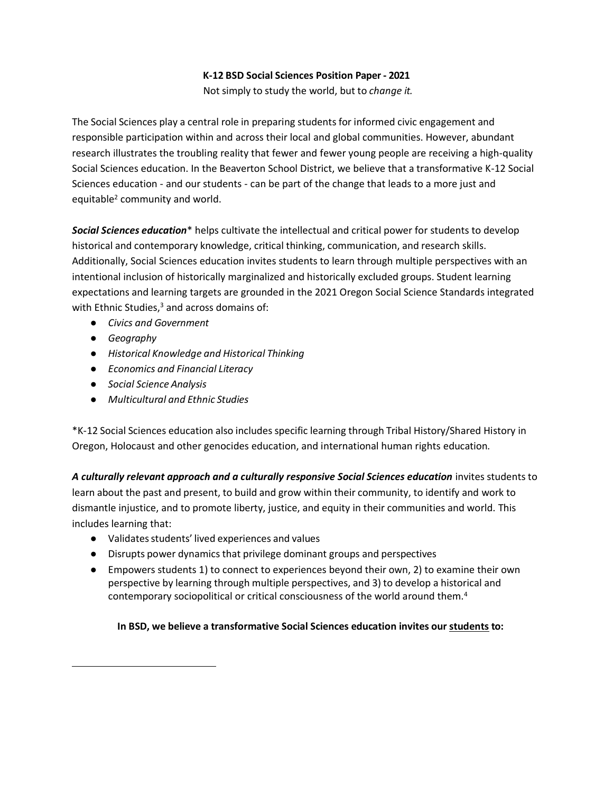#### **K-12 BSD Social Sciences Position Paper - 2021**

Not simply to study the world, but to *change it.*

The Social Sciences play a central role in preparing students for informed civic engagement and responsible participation within and across their local and global communities. However, abundant research illustrates the troubling reality that fewer and fewer young people are receiving a high-quality Social Sciences education. In the Beaverton School District, we believe that a transformative K-12 Social Sciences education - and our students - can be part of the change that leads to a more just and equitable<sup>2</sup> community and world.

*Social Sciences education*\* helps cultivate the intellectual and critical power for students to develop historical and contemporary knowledge, critical thinking, communication, and research skills. Additionally, Social Sciences education invites students to learn through multiple perspectives with an intentional inclusion of historically marginalized and historically excluded groups. Student learning expectations and learning targets are grounded in the 2021 Oregon Social Science Standards integrated with Ethnic Studies,<sup>3</sup> and across domains of:

- *● Civics and Government*
- *● Geography*
- *● Historical Knowledge and Historical Thinking*
- *● Economics and Financial Literacy*
- *● Social Science Analysis*
- *Multicultural and Ethnic Studies*

\*K-12 Social Sciences education also includes specific learning through Tribal History/Shared History in Oregon, Holocaust and other genocides education, and international human rights education.

*A culturally relevant approach and a culturally responsive Social Sciences education* invites students to learn about the past and present, to build and grow within their community, to identify and work to dismantle injustice, and to promote liberty, justice, and equity in their communities and world. This includes learning that:

- Validatesstudents' lived experiences and values
- Disrupts power dynamics that privilege dominant groups and perspectives
- Empowers students 1) to connect to experiences beyond their own, 2) to examine their own perspective by learning through multiple perspectives, and 3) to develop a historical and contemporary sociopolitical or critical consciousness of the world around them.<sup>4</sup>

**In BSD, we believe a transformative Social Sciences education invites our students to:**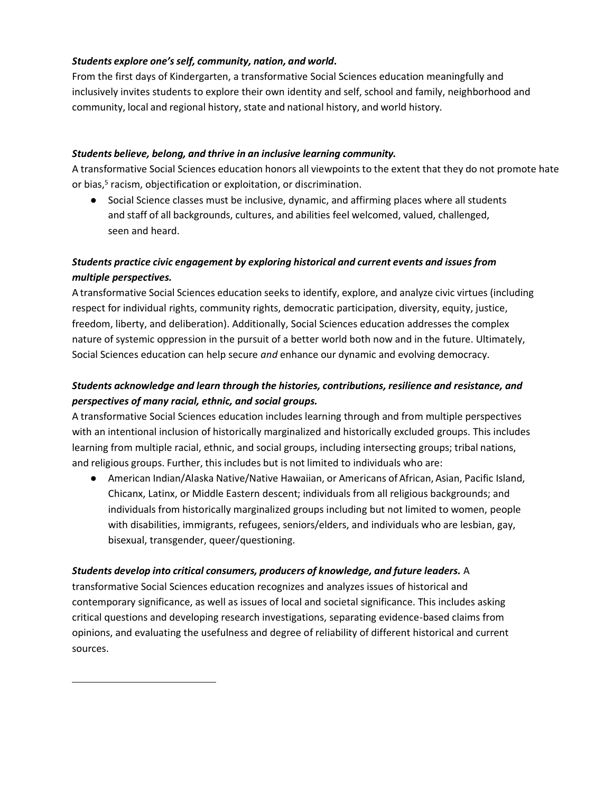### *Students explore one's self, community, nation, and world***.**

From the first days of Kindergarten, a transformative Social Sciences education meaningfully and inclusively invites students to explore their own identity and self, school and family, neighborhood and community, local and regional history, state and national history, and world history.

### *Students believe, belong, and thrive in an inclusive learning community.*

A transformative Social Sciences education honors all viewpoints to the extent that they do not promote hate or bias,<sup>5</sup> racism, objectification or exploitation, or discrimination.

● Social Science classes must be inclusive, dynamic, and affirming places where all students and staff of all backgrounds, cultures, and abilities feel welcomed, valued, challenged, seen and heard.

## *Students practice civic engagement by exploring historical and current events and issues from multiple perspectives.*

A transformative Social Sciences education seeks to identify, explore, and analyze civic virtues (including respect for individual rights, community rights, democratic participation, diversity, equity, justice, freedom, liberty, and deliberation). Additionally, Social Sciences education addresses the complex nature of systemic oppression in the pursuit of a better world both now and in the future. Ultimately, Social Sciences education can help secure *and* enhance our dynamic and evolving democracy.

# *Students acknowledge and learn through the histories, contributions, resilience and resistance, and perspectives of many racial, ethnic, and social groups.*

A transformative Social Sciences education includes learning through and from multiple perspectives with an intentional inclusion of historically marginalized and historically excluded groups. This includes learning from multiple racial, ethnic, and social groups, including intersecting groups; tribal nations, and religious groups. Further, this includes but is not limited to individuals who are:

● American Indian/Alaska Native/Native Hawaiian, or Americans of African, Asian, Pacific Island, Chicanx, Latinx, or Middle Eastern descent; individuals from all religious backgrounds; and individuals from historically marginalized groups including but not limited to women, people with disabilities, immigrants, refugees, seniors/elders, and individuals who are lesbian, gay, bisexual, transgender, queer/questioning.

### *Students develop into critical consumers, producers of knowledge, and future leaders.* A

transformative Social Sciences education recognizes and analyzes issues of historical and contemporary significance, as well as issues of local and societal significance. This includes asking critical questions and developing research investigations, separating evidence-based claims from opinions, and evaluating the usefulness and degree of reliability of different historical and current sources.